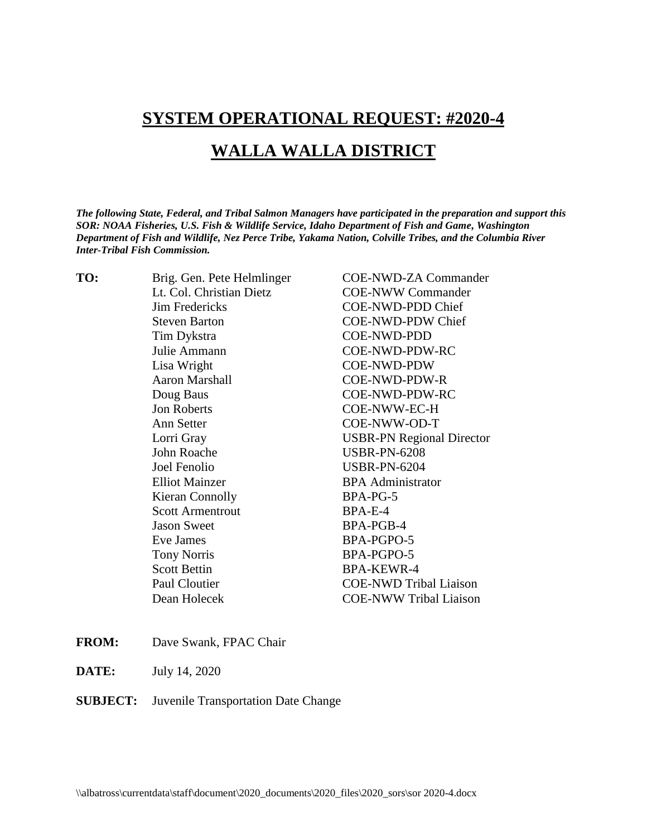# **SYSTEM OPERATIONAL REQUEST: #2020-4**

## **WALLA WALLA DISTRICT**

*The following State, Federal, and Tribal Salmon Managers have participated in the preparation and support this SOR: NOAA Fisheries, U.S. Fish & Wildlife Service, Idaho Department of Fish and Game, Washington Department of Fish and Wildlife, Nez Perce Tribe, Yakama Nation, Colville Tribes, and the Columbia River Inter-Tribal Fish Commission.* 

| Brig. Gen. Pete Helmlinger | <b>COE-NWD-ZA Commander</b>      |
|----------------------------|----------------------------------|
| Lt. Col. Christian Dietz   | <b>COE-NWW Commander</b>         |
| <b>Jim Fredericks</b>      | COE-NWD-PDD Chief                |
| <b>Steven Barton</b>       | <b>COE-NWD-PDW Chief</b>         |
| Tim Dykstra                | <b>COE-NWD-PDD</b>               |
| Julie Ammann               | COE-NWD-PDW-RC                   |
| Lisa Wright                | <b>COE-NWD-PDW</b>               |
| <b>Aaron Marshall</b>      | COE-NWD-PDW-R                    |
| Doug Baus                  | COE-NWD-PDW-RC                   |
| Jon Roberts                | COE-NWW-EC-H                     |
| Ann Setter                 | COE-NWW-OD-T                     |
| Lorri Gray                 | <b>USBR-PN Regional Director</b> |
| John Roache                | <b>USBR-PN-6208</b>              |
| Joel Fenolio               | <b>USBR-PN-6204</b>              |
| <b>Elliot Mainzer</b>      | <b>BPA</b> Administrator         |
| Kieran Connolly            | BPA-PG-5                         |
| <b>Scott Armentrout</b>    | BPA-E-4                          |
| <b>Jason Sweet</b>         | BPA-PGB-4                        |
| Eve James                  | BPA-PGPO-5                       |
| <b>Tony Norris</b>         | BPA-PGPO-5                       |
| <b>Scott Bettin</b>        | <b>BPA-KEWR-4</b>                |
| Paul Cloutier              | <b>COE-NWD Tribal Liaison</b>    |
| Dean Holecek               | <b>COE-NWW Tribal Liaison</b>    |
|                            |                                  |

- **FROM:** Dave Swank, FPAC Chair
- **DATE:** July 14, 2020

#### **SUBJECT:** Juvenile Transportation Date Change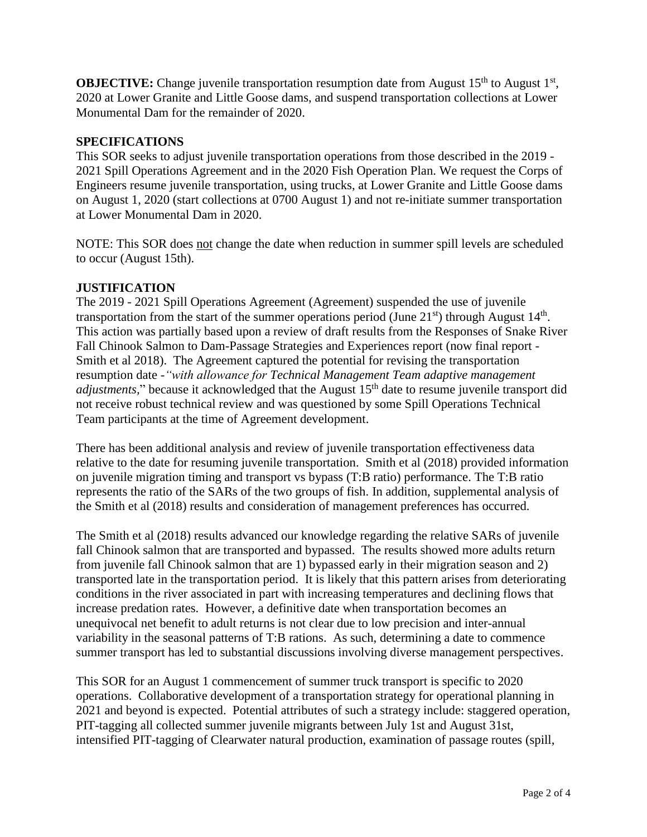**OBJECTIVE:** Change juvenile transportation resumption date from August 15<sup>th</sup> to August 1<sup>st</sup>, 2020 at Lower Granite and Little Goose dams, and suspend transportation collections at Lower Monumental Dam for the remainder of 2020.

### **SPECIFICATIONS**

This SOR seeks to adjust juvenile transportation operations from those described in the 2019 - 2021 Spill Operations Agreement and in the 2020 Fish Operation Plan. We request the Corps of Engineers resume juvenile transportation, using trucks, at Lower Granite and Little Goose dams on August 1, 2020 (start collections at 0700 August 1) and not re-initiate summer transportation at Lower Monumental Dam in 2020.

NOTE: This SOR does not change the date when reduction in summer spill levels are scheduled to occur (August 15th).

### **JUSTIFICATION**

The 2019 - 2021 Spill Operations Agreement (Agreement) suspended the use of juvenile transportation from the start of the summer operations period (June  $21<sup>st</sup>$ ) through August  $14<sup>th</sup>$ . This action was partially based upon a review of draft results from the Responses of Snake River Fall Chinook Salmon to Dam-Passage Strategies and Experiences report (now final report - Smith et al 2018). The Agreement captured the potential for revising the transportation resumption date -*"with allowance for Technical Management Team adaptive management adjustments*," because it acknowledged that the August 15<sup>th</sup> date to resume juvenile transport did not receive robust technical review and was questioned by some Spill Operations Technical Team participants at the time of Agreement development.

There has been additional analysis and review of juvenile transportation effectiveness data relative to the date for resuming juvenile transportation. Smith et al (2018) provided information on juvenile migration timing and transport vs bypass (T:B ratio) performance. The T:B ratio represents the ratio of the SARs of the two groups of fish. In addition, supplemental analysis of the Smith et al (2018) results and consideration of management preferences has occurred.

The Smith et al (2018) results advanced our knowledge regarding the relative SARs of juvenile fall Chinook salmon that are transported and bypassed. The results showed more adults return from juvenile fall Chinook salmon that are 1) bypassed early in their migration season and 2) transported late in the transportation period. It is likely that this pattern arises from deteriorating conditions in the river associated in part with increasing temperatures and declining flows that increase predation rates. However, a definitive date when transportation becomes an unequivocal net benefit to adult returns is not clear due to low precision and inter-annual variability in the seasonal patterns of T:B rations. As such, determining a date to commence summer transport has led to substantial discussions involving diverse management perspectives.

This SOR for an August 1 commencement of summer truck transport is specific to 2020 operations. Collaborative development of a transportation strategy for operational planning in 2021 and beyond is expected. Potential attributes of such a strategy include: staggered operation, PIT-tagging all collected summer juvenile migrants between July 1st and August 31st, intensified PIT-tagging of Clearwater natural production, examination of passage routes (spill,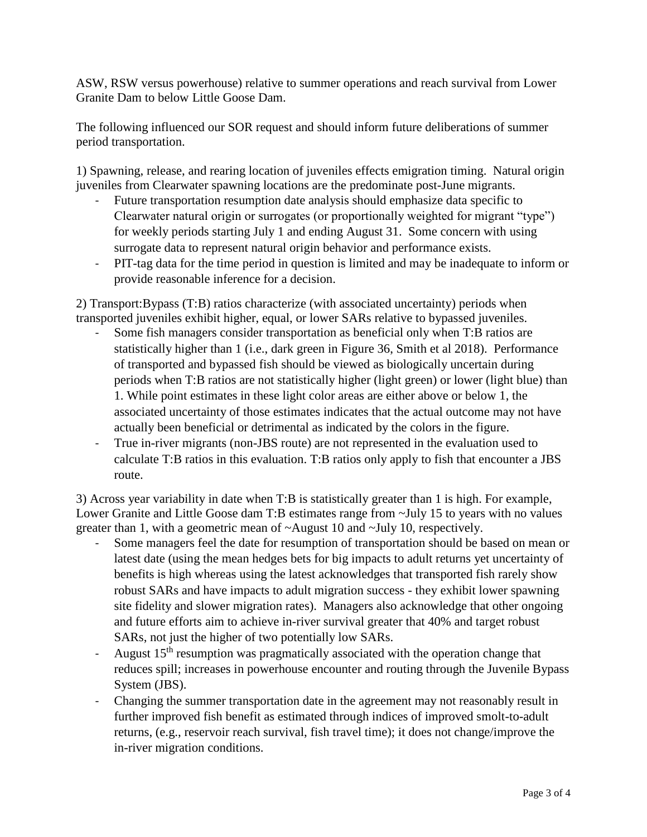ASW, RSW versus powerhouse) relative to summer operations and reach survival from Lower Granite Dam to below Little Goose Dam.

The following influenced our SOR request and should inform future deliberations of summer period transportation.

1) Spawning, release, and rearing location of juveniles effects emigration timing. Natural origin juveniles from Clearwater spawning locations are the predominate post-June migrants.

- Future transportation resumption date analysis should emphasize data specific to Clearwater natural origin or surrogates (or proportionally weighted for migrant "type") for weekly periods starting July 1 and ending August 31. Some concern with using surrogate data to represent natural origin behavior and performance exists.
- PIT-tag data for the time period in question is limited and may be inadequate to inform or provide reasonable inference for a decision.

2) Transport:Bypass (T:B) ratios characterize (with associated uncertainty) periods when transported juveniles exhibit higher, equal, or lower SARs relative to bypassed juveniles.

- Some fish managers consider transportation as beneficial only when T:B ratios are statistically higher than 1 (i.e., dark green in Figure 36, Smith et al 2018). Performance of transported and bypassed fish should be viewed as biologically uncertain during periods when T:B ratios are not statistically higher (light green) or lower (light blue) than 1. While point estimates in these light color areas are either above or below 1, the associated uncertainty of those estimates indicates that the actual outcome may not have actually been beneficial or detrimental as indicated by the colors in the figure.
- True in-river migrants (non-JBS route) are not represented in the evaluation used to calculate T:B ratios in this evaluation. T:B ratios only apply to fish that encounter a JBS route.

3) Across year variability in date when T:B is statistically greater than 1 is high. For example, Lower Granite and Little Goose dam T:B estimates range from  $\sim$ July 15 to years with no values greater than 1, with a geometric mean of ~August 10 and ~July 10, respectively.

- Some managers feel the date for resumption of transportation should be based on mean or latest date (using the mean hedges bets for big impacts to adult returns yet uncertainty of benefits is high whereas using the latest acknowledges that transported fish rarely show robust SARs and have impacts to adult migration success - they exhibit lower spawning site fidelity and slower migration rates). Managers also acknowledge that other ongoing and future efforts aim to achieve in-river survival greater that 40% and target robust SARs, not just the higher of two potentially low SARs.
- August 15<sup>th</sup> resumption was pragmatically associated with the operation change that reduces spill; increases in powerhouse encounter and routing through the Juvenile Bypass System (JBS).
- Changing the summer transportation date in the agreement may not reasonably result in further improved fish benefit as estimated through indices of improved smolt-to-adult returns, (e.g., reservoir reach survival, fish travel time); it does not change/improve the in-river migration conditions.